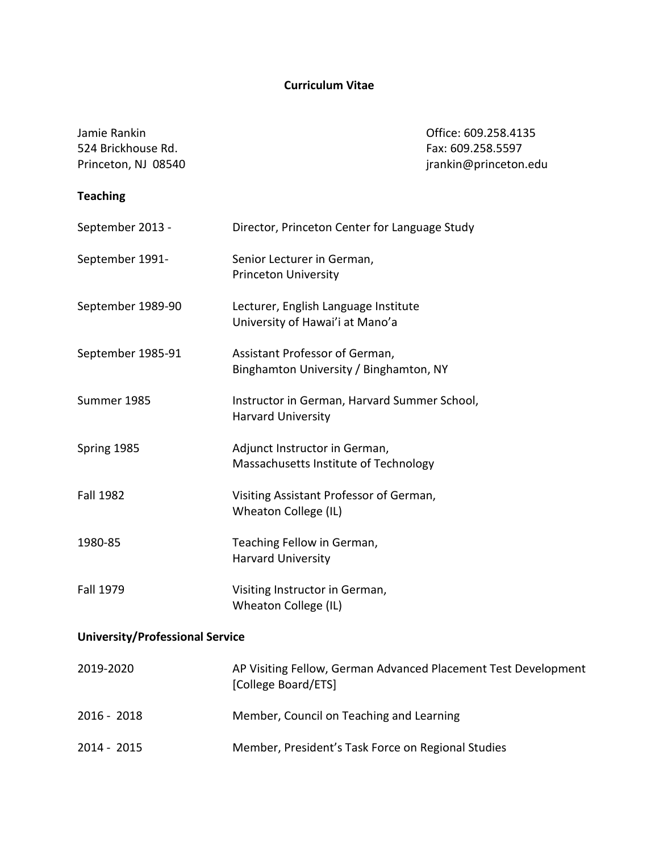# **Curriculum Vitae**

| Jamie Rankin<br>524 Brickhouse Rd.<br>Princeton, NJ 08540 |                                                                                       | Office: 609.258.4135<br>Fax: 609.258.5597<br>jrankin@princeton.edu |
|-----------------------------------------------------------|---------------------------------------------------------------------------------------|--------------------------------------------------------------------|
| <b>Teaching</b>                                           |                                                                                       |                                                                    |
| September 2013 -                                          | Director, Princeton Center for Language Study                                         |                                                                    |
| September 1991-                                           | Senior Lecturer in German,<br><b>Princeton University</b>                             |                                                                    |
| September 1989-90                                         | Lecturer, English Language Institute<br>University of Hawai'i at Mano'a               |                                                                    |
| September 1985-91                                         | Assistant Professor of German,<br>Binghamton University / Binghamton, NY              |                                                                    |
| Summer 1985                                               | Instructor in German, Harvard Summer School,<br><b>Harvard University</b>             |                                                                    |
| Spring 1985                                               | Adjunct Instructor in German,<br>Massachusetts Institute of Technology                |                                                                    |
| <b>Fall 1982</b>                                          | Visiting Assistant Professor of German,<br>Wheaton College (IL)                       |                                                                    |
| 1980-85                                                   | Teaching Fellow in German,<br><b>Harvard University</b>                               |                                                                    |
| <b>Fall 1979</b>                                          | Visiting Instructor in German,<br>Wheaton College (IL)                                |                                                                    |
| <b>University/Professional Service</b>                    |                                                                                       |                                                                    |
| 2019-2020                                                 | AP Visiting Fellow, German Advanced Placement Test Development<br>[College Board/ETS] |                                                                    |
| 2016 - 2018                                               | Member, Council on Teaching and Learning                                              |                                                                    |

2014 - 2015 Member, President's Task Force on Regional Studies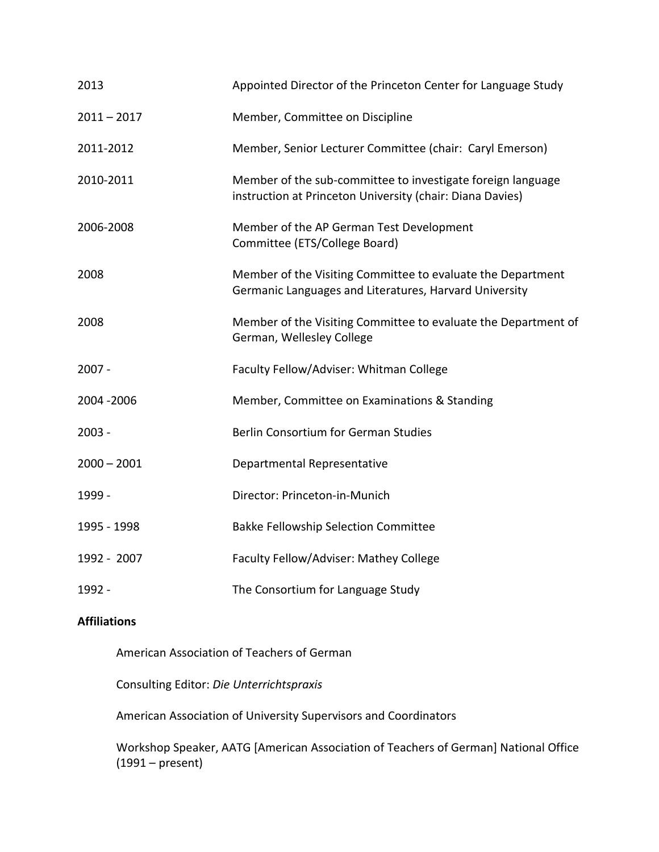| 2013          | Appointed Director of the Princeton Center for Language Study                                                            |  |
|---------------|--------------------------------------------------------------------------------------------------------------------------|--|
| $2011 - 2017$ | Member, Committee on Discipline                                                                                          |  |
| 2011-2012     | Member, Senior Lecturer Committee (chair: Caryl Emerson)                                                                 |  |
| 2010-2011     | Member of the sub-committee to investigate foreign language<br>instruction at Princeton University (chair: Diana Davies) |  |
| 2006-2008     | Member of the AP German Test Development<br>Committee (ETS/College Board)                                                |  |
| 2008          | Member of the Visiting Committee to evaluate the Department<br>Germanic Languages and Literatures, Harvard University    |  |
| 2008          | Member of the Visiting Committee to evaluate the Department of<br>German, Wellesley College                              |  |
| $2007 -$      | Faculty Fellow/Adviser: Whitman College                                                                                  |  |
| 2004 - 2006   | Member, Committee on Examinations & Standing                                                                             |  |
| $2003 -$      | Berlin Consortium for German Studies                                                                                     |  |
| $2000 - 2001$ | Departmental Representative                                                                                              |  |
| 1999 -        | Director: Princeton-in-Munich                                                                                            |  |
| 1995 - 1998   | <b>Bakke Fellowship Selection Committee</b>                                                                              |  |
| 1992 - 2007   | Faculty Fellow/Adviser: Mathey College                                                                                   |  |
| 1992 -        | The Consortium for Language Study                                                                                        |  |

## **Affiliations**

American Association of Teachers of German

Consulting Editor: *Die Unterrichtspraxis*

American Association of University Supervisors and Coordinators

Workshop Speaker, AATG [American Association of Teachers of German] National Office (1991 – present)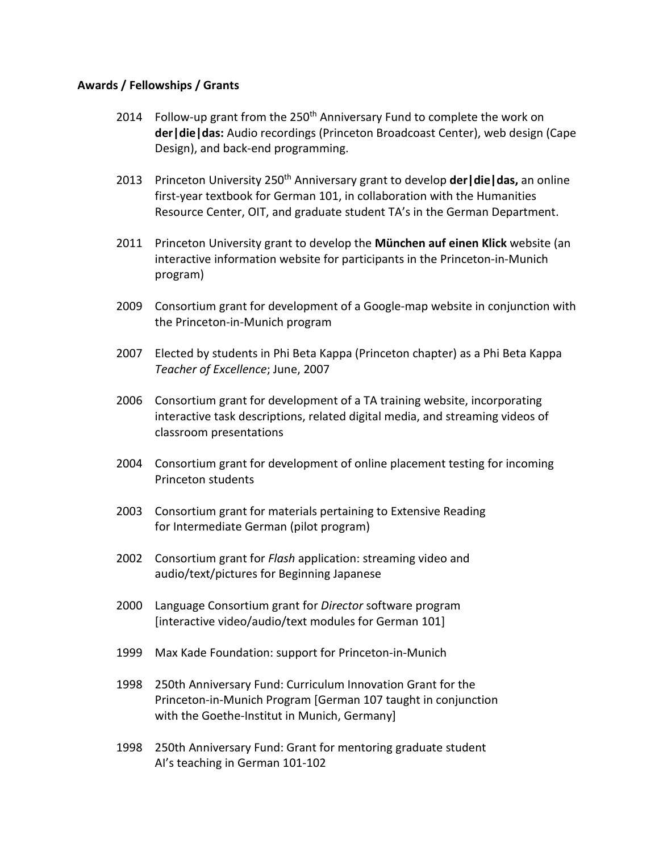### **Awards / Fellowships / Grants**

- 2014 Follow-up grant from the 250<sup>th</sup> Anniversary Fund to complete the work on **der|die|das:** Audio recordings (Princeton Broadcoast Center), web design (Cape Design), and back-end programming.
- 2013 Princeton University 250th Anniversary grant to develop **der|die|das,** an online first-year textbook for German 101, in collaboration with the Humanities Resource Center, OIT, and graduate student TA's in the German Department.
- 2011 Princeton University grant to develop the **München auf einen Klick** website (an interactive information website for participants in the Princeton-in-Munich program)
- 2009 Consortium grant for development of a Google-map website in conjunction with the Princeton-in-Munich program
- 2007 Elected by students in Phi Beta Kappa (Princeton chapter) as a Phi Beta Kappa *Teacher of Excellence*; June, 2007
- 2006 Consortium grant for development of a TA training website, incorporating interactive task descriptions, related digital media, and streaming videos of classroom presentations
- 2004 Consortium grant for development of online placement testing for incoming Princeton students
- 2003 Consortium grant for materials pertaining to Extensive Reading for Intermediate German (pilot program)
- 2002 Consortium grant for *Flash* application: streaming video and audio/text/pictures for Beginning Japanese
- 2000 Language Consortium grant for *Director* software program [interactive video/audio/text modules for German 101]
- 1999 Max Kade Foundation: support for Princeton-in-Munich
- 1998 250th Anniversary Fund: Curriculum Innovation Grant for the Princeton-in-Munich Program [German 107 taught in conjunction with the Goethe-Institut in Munich, Germany]
- 1998 250th Anniversary Fund: Grant for mentoring graduate student AI's teaching in German 101-102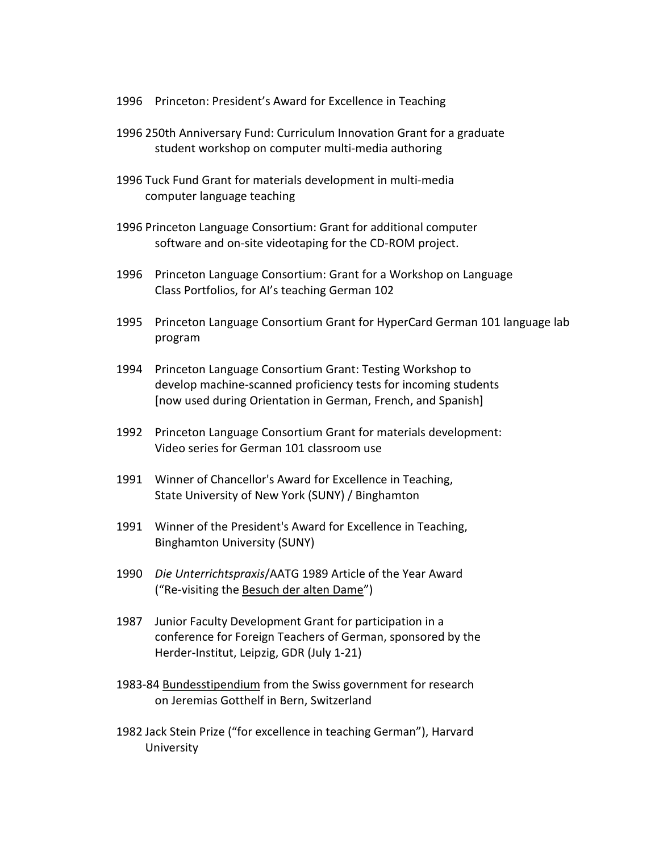- 1996 Princeton: President's Award for Excellence in Teaching
- 1996 250th Anniversary Fund: Curriculum Innovation Grant for a graduate student workshop on computer multi-media authoring
- 1996 Tuck Fund Grant for materials development in multi-media computer language teaching
- 1996 Princeton Language Consortium: Grant for additional computer software and on-site videotaping for the CD-ROM project.
- 1996 Princeton Language Consortium: Grant for a Workshop on Language Class Portfolios, for AI's teaching German 102
- 1995 Princeton Language Consortium Grant for HyperCard German 101 language lab program
- 1994 Princeton Language Consortium Grant: Testing Workshop to develop machine-scanned proficiency tests for incoming students [now used during Orientation in German, French, and Spanish]
- 1992 Princeton Language Consortium Grant for materials development: Video series for German 101 classroom use
- 1991 Winner of Chancellor's Award for Excellence in Teaching, State University of New York (SUNY) / Binghamton
- 1991 Winner of the President's Award for Excellence in Teaching, Binghamton University (SUNY)
- 1990 *Die Unterrichtspraxis*/AATG 1989 Article of the Year Award ("Re-visiting the Besuch der alten Dame")
- 1987 Junior Faculty Development Grant for participation in a conference for Foreign Teachers of German, sponsored by the Herder-Institut, Leipzig, GDR (July 1-21)
- 1983-84 Bundesstipendium from the Swiss government for research on Jeremias Gotthelf in Bern, Switzerland
- 1982 Jack Stein Prize ("for excellence in teaching German"), Harvard University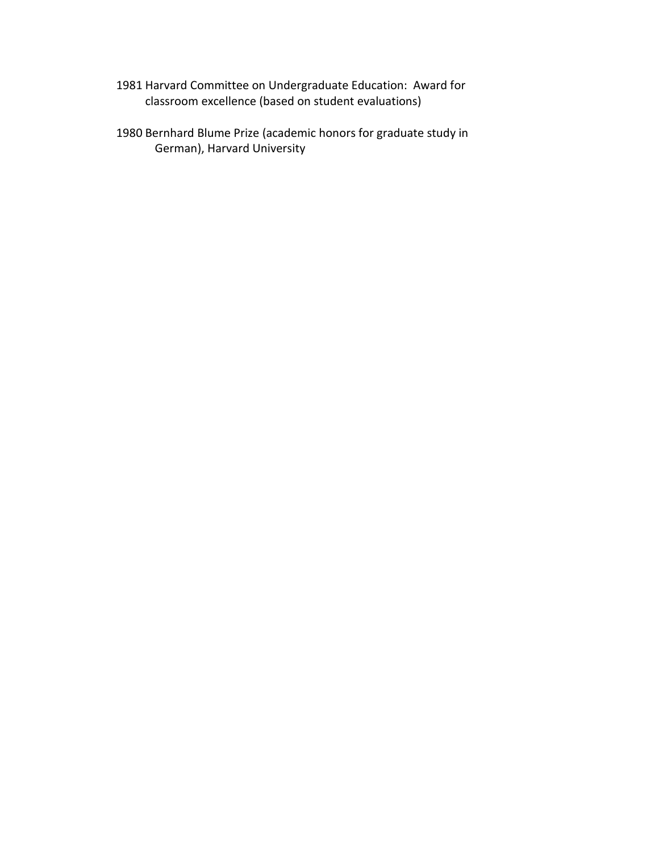- 1981 Harvard Committee on Undergraduate Education: Award for classroom excellence (based on student evaluations)
- 1980 Bernhard Blume Prize (academic honors for graduate study in German), Harvard University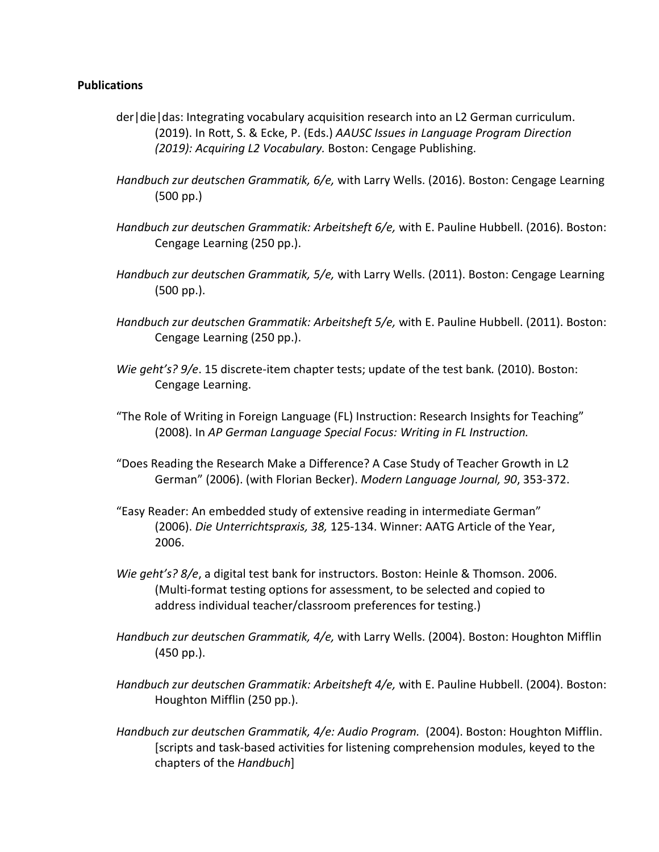## **Publications**

- der|die|das: Integrating vocabulary acquisition research into an L2 German curriculum. (2019). In Rott, S. & Ecke, P. (Eds.) *AAUSC Issues in Language Program Direction (2019): Acquiring L2 Vocabulary.* Boston: Cengage Publishing.
- *Handbuch zur deutschen Grammatik, 6/e,* with Larry Wells. (2016). Boston: Cengage Learning (500 pp.)
- *Handbuch zur deutschen Grammatik: Arbeitsheft 6/e,* with E. Pauline Hubbell. (2016). Boston: Cengage Learning (250 pp.).
- *Handbuch zur deutschen Grammatik, 5/e,* with Larry Wells. (2011). Boston: Cengage Learning (500 pp.).
- *Handbuch zur deutschen Grammatik: Arbeitsheft 5/e,* with E. Pauline Hubbell. (2011). Boston: Cengage Learning (250 pp.).
- *Wie geht's? 9/e*. 15 discrete-item chapter tests; update of the test bank*.* (2010). Boston: Cengage Learning.
- "The Role of Writing in Foreign Language (FL) Instruction: Research Insights for Teaching" (2008). In *AP German Language Special Focus: Writing in FL Instruction.*
- "Does Reading the Research Make a Difference? A Case Study of Teacher Growth in L2 German" (2006). (with Florian Becker). *Modern Language Journal, 90*, 353-372.
- "Easy Reader: An embedded study of extensive reading in intermediate German" (2006). *Die Unterrichtspraxis, 38,* 125-134. Winner: AATG Article of the Year, 2006.
- *Wie geht's? 8/e*, a digital test bank for instructors. Boston: Heinle & Thomson. 2006. (Multi-format testing options for assessment, to be selected and copied to address individual teacher/classroom preferences for testing.)
- *Handbuch zur deutschen Grammatik, 4/e,* with Larry Wells. (2004). Boston: Houghton Mifflin (450 pp.).
- *Handbuch zur deutschen Grammatik: Arbeitsheft 4/e,* with E. Pauline Hubbell. (2004). Boston: Houghton Mifflin (250 pp.).
- *Handbuch zur deutschen Grammatik, 4/e: Audio Program.* (2004). Boston: Houghton Mifflin. [scripts and task-based activities for listening comprehension modules, keyed to the chapters of the *Handbuch*]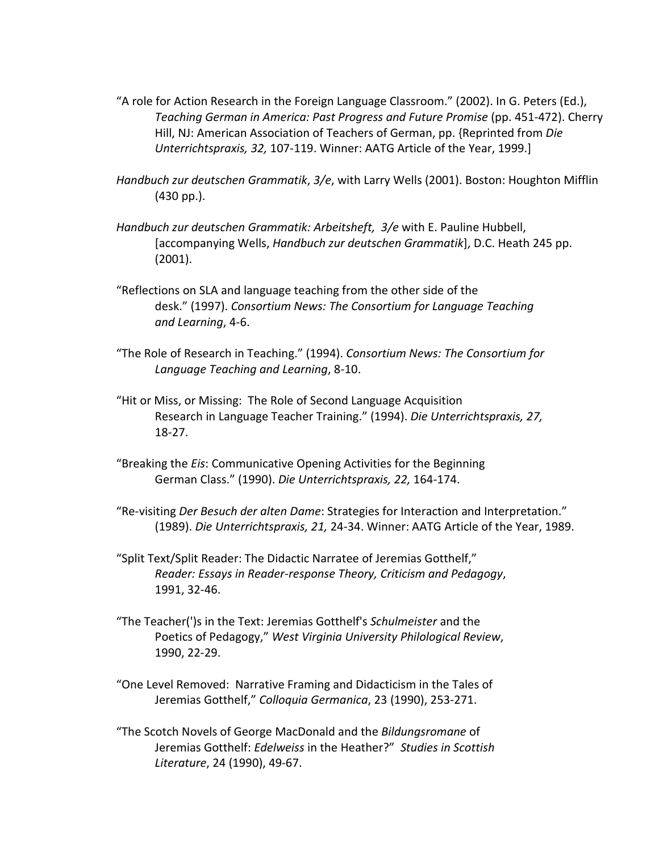- "A role for Action Research in the Foreign Language Classroom." (2002). In G. Peters (Ed.), *Teaching German in America: Past Progress and Future Promise* (pp. 451-472). Cherry Hill, NJ: American Association of Teachers of German, pp. {Reprinted from *Die Unterrichtspraxis, 32,* 107-119. Winner: AATG Article of the Year, 1999.]
- *Handbuch zur deutschen Grammatik*, *3/e*, with Larry Wells (2001). Boston: Houghton Mifflin (430 pp.).
- *Handbuch zur deutschen Grammatik: Arbeitsheft, 3/e* with E. Pauline Hubbell, [accompanying Wells, *Handbuch zur deutschen Grammatik*], D.C. Heath 245 pp. (2001).
- "Reflections on SLA and language teaching from the other side of the desk." (1997). *Consortium News: The Consortium for Language Teaching and Learning*, 4-6.
- "The Role of Research in Teaching." (1994). *Consortium News: The Consortium for Language Teaching and Learning*, 8-10.
- "Hit or Miss, or Missing: The Role of Second Language Acquisition Research in Language Teacher Training." (1994). *Die Unterrichtspraxis, 27,* 18-27.
- "Breaking the *Eis*: Communicative Opening Activities for the Beginning German Class." (1990). *Die Unterrichtspraxis, 22,* 164-174.
- "Re-visiting *Der Besuch der alten Dame*: Strategies for Interaction and Interpretation." (1989). *Die Unterrichtspraxis, 21,* 24-34. Winner: AATG Article of the Year, 1989.
- "Split Text/Split Reader: The Didactic Narratee of Jeremias Gotthelf," *Reader: Essays in Reader-response Theory, Criticism and Pedagogy*, 1991, 32-46.
- "The Teacher(')s in the Text: Jeremias Gotthelf's *Schulmeister* and the Poetics of Pedagogy," *West Virginia University Philological Review*, 1990, 22-29.
- "One Level Removed: Narrative Framing and Didacticism in the Tales of Jeremias Gotthelf," *Colloquia Germanica*, 23 (1990), 253-271.
- "The Scotch Novels of George MacDonald and the *Bildungsromane* of Jeremias Gotthelf: *Edelweiss* in the Heather?" *Studies in Scottish Literature*, 24 (1990), 49-67.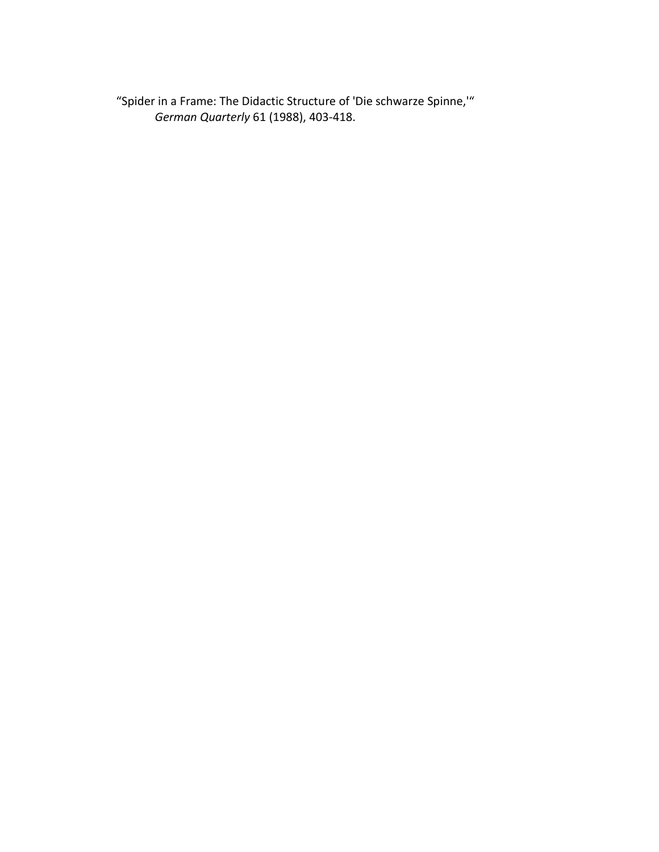"Spider in a Frame: The Didactic Structure of 'Die schwarze Spinne,'" *German Quarterly* 61 (1988), 403-418.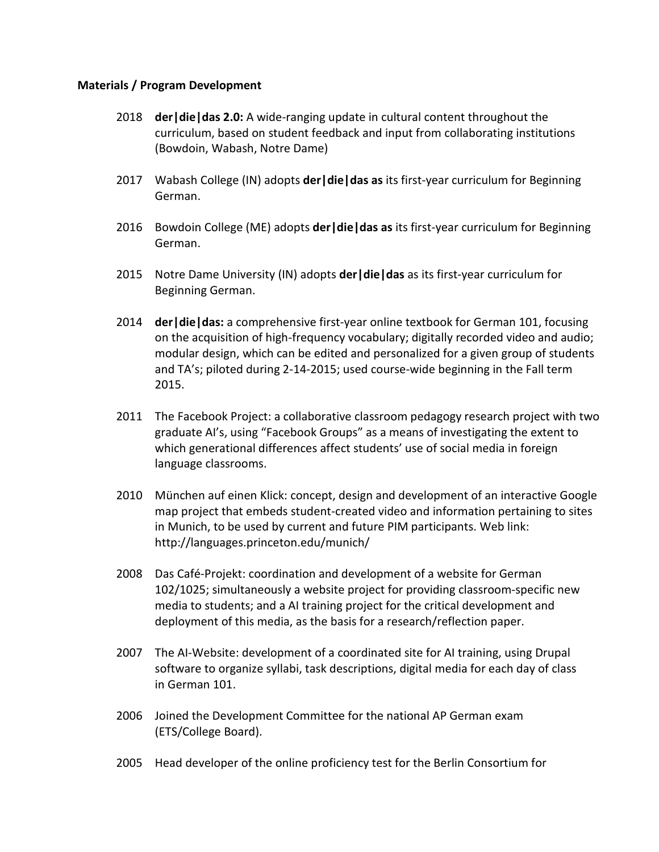## **Materials / Program Development**

- 2018 **der|die|das 2.0:** A wide-ranging update in cultural content throughout the curriculum, based on student feedback and input from collaborating institutions (Bowdoin, Wabash, Notre Dame)
- 2017 Wabash College (IN) adopts **der|die|das as** its first-year curriculum for Beginning German.
- 2016 Bowdoin College (ME) adopts **der|die|das as** its first-year curriculum for Beginning German.
- 2015 Notre Dame University (IN) adopts **der|die|das** as its first-year curriculum for Beginning German.
- 2014 **der|die|das:** a comprehensive first-year online textbook for German 101, focusing on the acquisition of high-frequency vocabulary; digitally recorded video and audio; modular design, which can be edited and personalized for a given group of students and TA's; piloted during 2-14-2015; used course-wide beginning in the Fall term 2015.
- 2011 The Facebook Project: a collaborative classroom pedagogy research project with two graduate AI's, using "Facebook Groups" as a means of investigating the extent to which generational differences affect students' use of social media in foreign language classrooms.
- 2010 München auf einen Klick: concept, design and development of an interactive Google map project that embeds student-created video and information pertaining to sites in Munich, to be used by current and future PIM participants. Web link: http://languages.princeton.edu/munich/
- 2008 Das Café-Projekt: coordination and development of a website for German 102/1025; simultaneously a website project for providing classroom-specific new media to students; and a AI training project for the critical development and deployment of this media, as the basis for a research/reflection paper.
- 2007 The AI-Website: development of a coordinated site for AI training, using Drupal software to organize syllabi, task descriptions, digital media for each day of class in German 101.
- 2006 Joined the Development Committee for the national AP German exam (ETS/College Board).
- 2005 Head developer of the online proficiency test for the Berlin Consortium for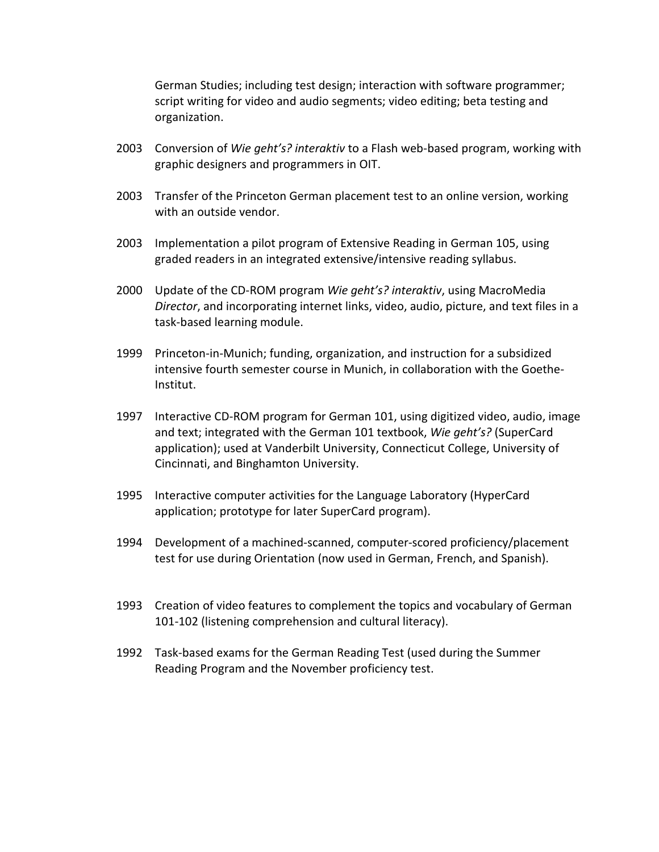German Studies; including test design; interaction with software programmer; script writing for video and audio segments; video editing; beta testing and organization.

- 2003 Conversion of *Wie geht's? interaktiv* to a Flash web-based program, working with graphic designers and programmers in OIT.
- 2003 Transfer of the Princeton German placement test to an online version, working with an outside vendor.
- 2003 Implementation a pilot program of Extensive Reading in German 105, using graded readers in an integrated extensive/intensive reading syllabus.
- 2000 Update of the CD-ROM program *Wie geht's? interaktiv*, using MacroMedia *Director*, and incorporating internet links, video, audio, picture, and text files in a task-based learning module.
- 1999 Princeton-in-Munich; funding, organization, and instruction for a subsidized intensive fourth semester course in Munich, in collaboration with the Goethe-Institut.
- 1997 Interactive CD-ROM program for German 101, using digitized video, audio, image and text; integrated with the German 101 textbook, *Wie geht's?* (SuperCard application); used at Vanderbilt University, Connecticut College, University of Cincinnati, and Binghamton University.
- 1995 Interactive computer activities for the Language Laboratory (HyperCard application; prototype for later SuperCard program).
- 1994 Development of a machined-scanned, computer-scored proficiency/placement test for use during Orientation (now used in German, French, and Spanish).
- 1993 Creation of video features to complement the topics and vocabulary of German 101-102 (listening comprehension and cultural literacy).
- 1992 Task-based exams for the German Reading Test (used during the Summer Reading Program and the November proficiency test.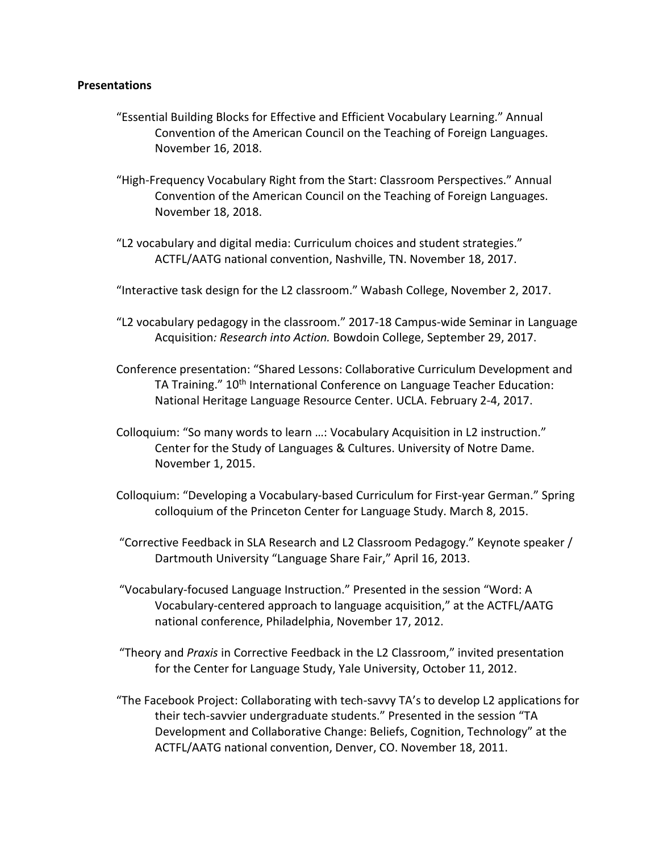#### **Presentations**

- "Essential Building Blocks for Effective and Efficient Vocabulary Learning." Annual Convention of the American Council on the Teaching of Foreign Languages. November 16, 2018.
- "High-Frequency Vocabulary Right from the Start: Classroom Perspectives." Annual Convention of the American Council on the Teaching of Foreign Languages. November 18, 2018.
- "L2 vocabulary and digital media: Curriculum choices and student strategies." ACTFL/AATG national convention, Nashville, TN. November 18, 2017.
- "Interactive task design for the L2 classroom." Wabash College, November 2, 2017.
- "L2 vocabulary pedagogy in the classroom." 2017-18 Campus-wide Seminar in Language Acquisition*: Research into Action.* Bowdoin College, September 29, 2017.
- Conference presentation: "Shared Lessons: Collaborative Curriculum Development and TA Training." 10<sup>th</sup> International Conference on Language Teacher Education: National Heritage Language Resource Center. UCLA. February 2-4, 2017.
- Colloquium: "So many words to learn …: Vocabulary Acquisition in L2 instruction." Center for the Study of Languages & Cultures. University of Notre Dame. November 1, 2015.
- Colloquium: "Developing a Vocabulary-based Curriculum for First-year German." Spring colloquium of the Princeton Center for Language Study. March 8, 2015.
- "Corrective Feedback in SLA Research and L2 Classroom Pedagogy." Keynote speaker / Dartmouth University "Language Share Fair," April 16, 2013.
- "Vocabulary-focused Language Instruction." Presented in the session "Word: A Vocabulary-centered approach to language acquisition," at the ACTFL/AATG national conference, Philadelphia, November 17, 2012.
- "Theory and *Praxis* in Corrective Feedback in the L2 Classroom," invited presentation for the Center for Language Study, Yale University, October 11, 2012.
- "The Facebook Project: Collaborating with tech-savvy TA's to develop L2 applications for their tech-savvier undergraduate students." Presented in the session "TA Development and Collaborative Change: Beliefs, Cognition, Technology" at the ACTFL/AATG national convention, Denver, CO. November 18, 2011.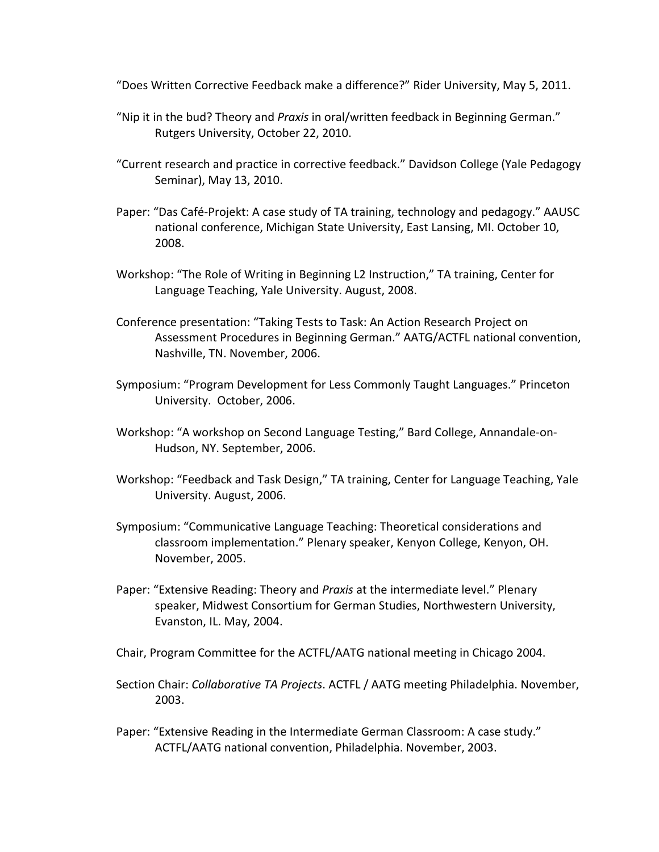"Does Written Corrective Feedback make a difference?" Rider University, May 5, 2011.

- "Nip it in the bud? Theory and *Praxis* in oral/written feedback in Beginning German." Rutgers University, October 22, 2010.
- "Current research and practice in corrective feedback." Davidson College (Yale Pedagogy Seminar), May 13, 2010.
- Paper: "Das Café-Projekt: A case study of TA training, technology and pedagogy." AAUSC national conference, Michigan State University, East Lansing, MI. October 10, 2008.
- Workshop: "The Role of Writing in Beginning L2 Instruction," TA training, Center for Language Teaching, Yale University. August, 2008.
- Conference presentation: "Taking Tests to Task: An Action Research Project on Assessment Procedures in Beginning German." AATG/ACTFL national convention, Nashville, TN. November, 2006.
- Symposium: "Program Development for Less Commonly Taught Languages." Princeton University. October, 2006.
- Workshop: "A workshop on Second Language Testing," Bard College, Annandale-on-Hudson, NY. September, 2006.
- Workshop: "Feedback and Task Design," TA training, Center for Language Teaching, Yale University. August, 2006.
- Symposium: "Communicative Language Teaching: Theoretical considerations and classroom implementation." Plenary speaker, Kenyon College, Kenyon, OH. November, 2005.
- Paper: "Extensive Reading: Theory and *Praxis* at the intermediate level." Plenary speaker, Midwest Consortium for German Studies, Northwestern University, Evanston, IL. May, 2004.
- Chair, Program Committee for the ACTFL/AATG national meeting in Chicago 2004.
- Section Chair: *Collaborative TA Projects*. ACTFL / AATG meeting Philadelphia. November, 2003.
- Paper: "Extensive Reading in the Intermediate German Classroom: A case study." ACTFL/AATG national convention, Philadelphia. November, 2003.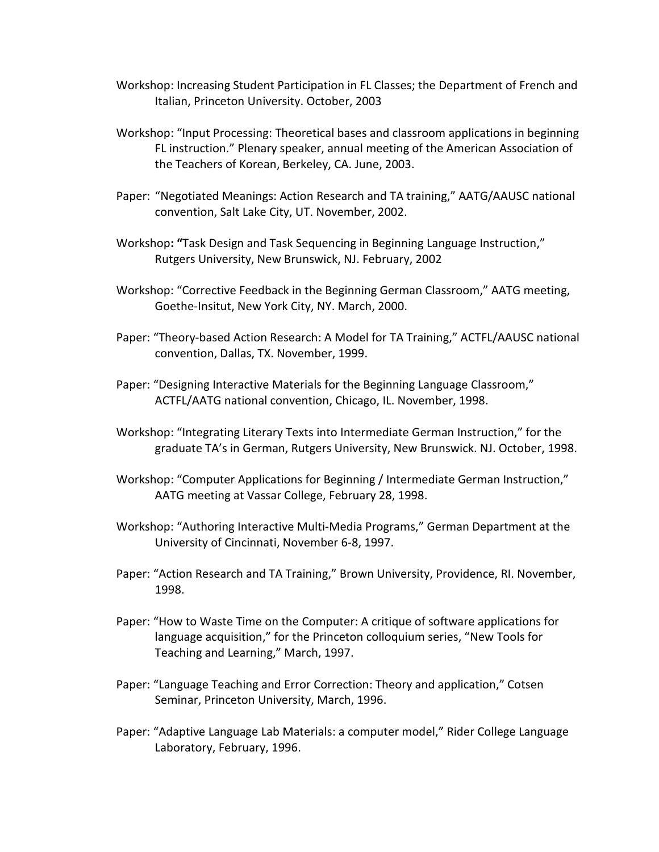- Workshop: Increasing Student Participation in FL Classes; the Department of French and Italian, Princeton University. October, 2003
- Workshop: "Input Processing: Theoretical bases and classroom applications in beginning FL instruction." Plenary speaker, annual meeting of the American Association of the Teachers of Korean, Berkeley, CA. June, 2003.
- Paper: "Negotiated Meanings: Action Research and TA training," AATG/AAUSC national convention, Salt Lake City, UT. November, 2002.
- Workshop**: "**Task Design and Task Sequencing in Beginning Language Instruction," Rutgers University, New Brunswick, NJ. February, 2002
- Workshop: "Corrective Feedback in the Beginning German Classroom," AATG meeting, Goethe-Insitut, New York City, NY. March, 2000.
- Paper: "Theory-based Action Research: A Model for TA Training," ACTFL/AAUSC national convention, Dallas, TX. November, 1999.
- Paper: "Designing Interactive Materials for the Beginning Language Classroom," ACTFL/AATG national convention, Chicago, IL. November, 1998.
- Workshop: "Integrating Literary Texts into Intermediate German Instruction," for the graduate TA's in German, Rutgers University, New Brunswick. NJ. October, 1998.
- Workshop: "Computer Applications for Beginning / Intermediate German Instruction," AATG meeting at Vassar College, February 28, 1998.
- Workshop: "Authoring Interactive Multi-Media Programs," German Department at the University of Cincinnati, November 6-8, 1997.
- Paper: "Action Research and TA Training," Brown University, Providence, RI. November, 1998.
- Paper: "How to Waste Time on the Computer: A critique of software applications for language acquisition," for the Princeton colloquium series, "New Tools for Teaching and Learning," March, 1997.
- Paper: "Language Teaching and Error Correction: Theory and application," Cotsen Seminar, Princeton University, March, 1996.
- Paper: "Adaptive Language Lab Materials: a computer model," Rider College Language Laboratory, February, 1996.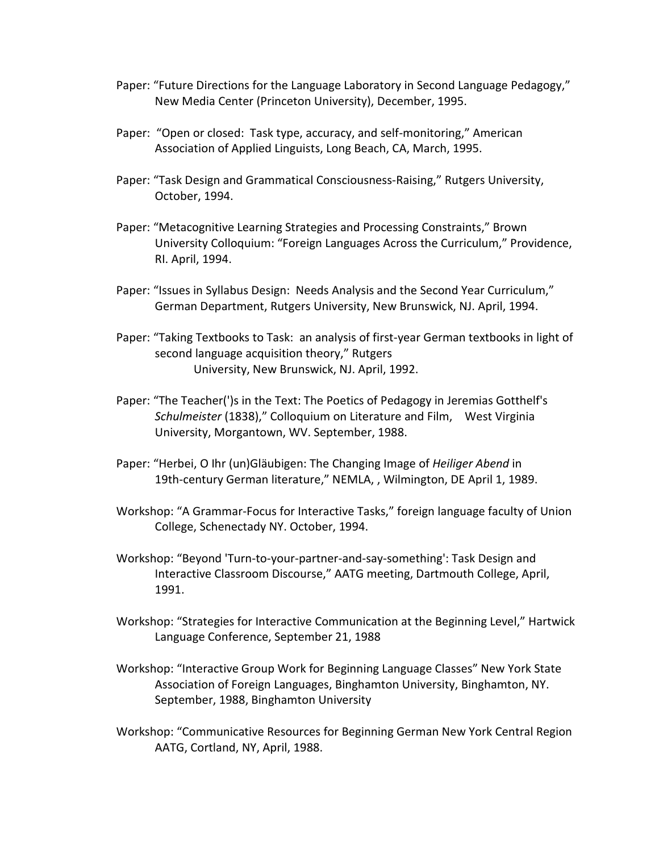- Paper: "Future Directions for the Language Laboratory in Second Language Pedagogy," New Media Center (Princeton University), December, 1995.
- Paper: "Open or closed: Task type, accuracy, and self-monitoring," American Association of Applied Linguists, Long Beach, CA, March, 1995.
- Paper: "Task Design and Grammatical Consciousness-Raising," Rutgers University, October, 1994.
- Paper: "Metacognitive Learning Strategies and Processing Constraints," Brown University Colloquium: "Foreign Languages Across the Curriculum," Providence, RI. April, 1994.
- Paper: "Issues in Syllabus Design: Needs Analysis and the Second Year Curriculum," German Department, Rutgers University, New Brunswick, NJ. April, 1994.
- Paper: "Taking Textbooks to Task: an analysis of first-year German textbooks in light of second language acquisition theory," Rutgers University, New Brunswick, NJ. April, 1992.
- Paper: "The Teacher(')s in the Text: The Poetics of Pedagogy in Jeremias Gotthelf's *Schulmeister* (1838)," Colloquium on Literature and Film, West Virginia University, Morgantown, WV. September, 1988.
- Paper: "Herbei, O Ihr (un)Gläubigen: The Changing Image of *Heiliger Abend* in 19th-century German literature," NEMLA, , Wilmington, DE April 1, 1989.
- Workshop: "A Grammar-Focus for Interactive Tasks," foreign language faculty of Union College, Schenectady NY. October, 1994.
- Workshop: "Beyond 'Turn-to-your-partner-and-say-something': Task Design and Interactive Classroom Discourse," AATG meeting, Dartmouth College, April, 1991.
- Workshop: "Strategies for Interactive Communication at the Beginning Level," Hartwick Language Conference, September 21, 1988
- Workshop: "Interactive Group Work for Beginning Language Classes" New York State Association of Foreign Languages, Binghamton University, Binghamton, NY. September, 1988, Binghamton University
- Workshop: "Communicative Resources for Beginning German New York Central Region AATG, Cortland, NY, April, 1988.